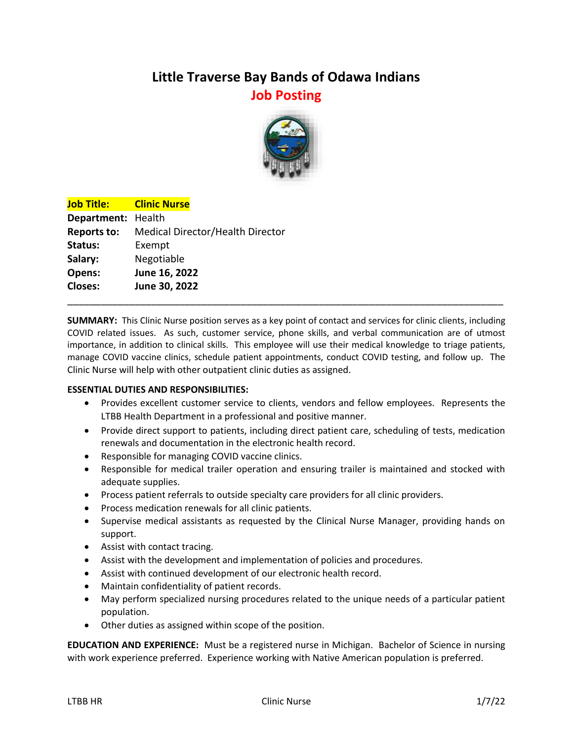## **Little Traverse Bay Bands of Odawa Indians Job Posting**



| <b>Job Title:</b>  | <b>Clinic Nurse</b>                     |  |  |
|--------------------|-----------------------------------------|--|--|
| Department: Health |                                         |  |  |
| <b>Reports to:</b> | <b>Medical Director/Health Director</b> |  |  |
| Status:            | Exempt                                  |  |  |
| Salary:            | Negotiable                              |  |  |
| Opens:             | June 16, 2022                           |  |  |
| <b>Closes:</b>     | June 30, 2022                           |  |  |
|                    |                                         |  |  |

**SUMMARY:** This Clinic Nurse position serves as a key point of contact and services for clinic clients, including COVID related issues. As such, customer service, phone skills, and verbal communication are of utmost importance, in addition to clinical skills. This employee will use their medical knowledge to triage patients, manage COVID vaccine clinics, schedule patient appointments, conduct COVID testing, and follow up. The Clinic Nurse will help with other outpatient clinic duties as assigned.

## **ESSENTIAL DUTIES AND RESPONSIBILITIES:**

- Provides excellent customer service to clients, vendors and fellow employees. Represents the LTBB Health Department in a professional and positive manner.
- Provide direct support to patients, including direct patient care, scheduling of tests, medication renewals and documentation in the electronic health record.
- Responsible for managing COVID vaccine clinics.
- Responsible for medical trailer operation and ensuring trailer is maintained and stocked with adequate supplies.
- Process patient referrals to outside specialty care providers for all clinic providers.
- Process medication renewals for all clinic patients.
- Supervise medical assistants as requested by the Clinical Nurse Manager, providing hands on support.
- Assist with contact tracing.
- Assist with the development and implementation of policies and procedures.
- Assist with continued development of our electronic health record.
- Maintain confidentiality of patient records.
- May perform specialized nursing procedures related to the unique needs of a particular patient population.
- Other duties as assigned within scope of the position.

**EDUCATION AND EXPERIENCE:** Must be a registered nurse in Michigan. Bachelor of Science in nursing with work experience preferred. Experience working with Native American population is preferred.